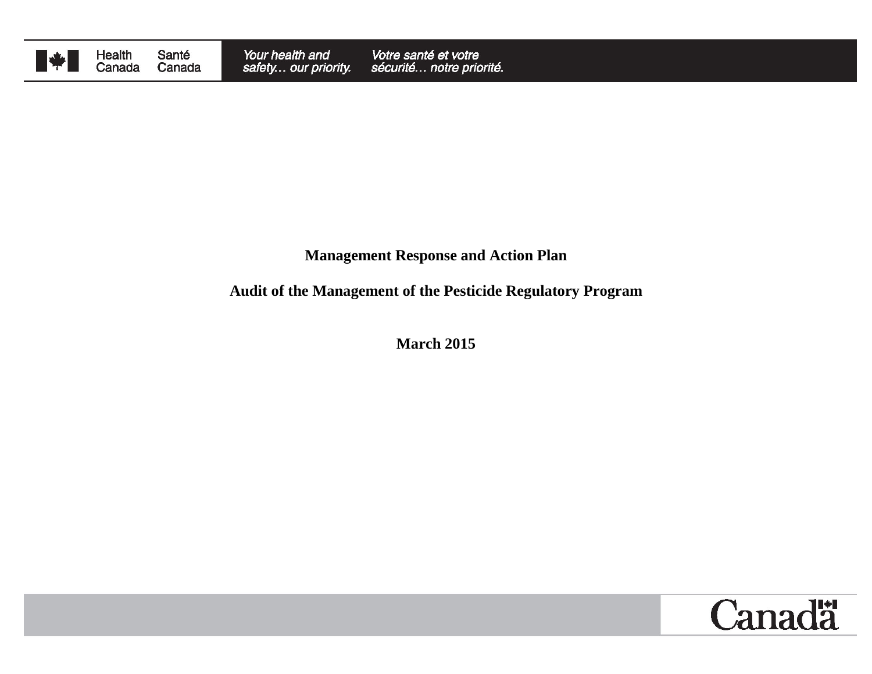

Health<br>Canada Santé Canada

## **Management Response and Action Plan**

# **Audit of the Management of the Pesticide Regulatory Program**

**March 2015**

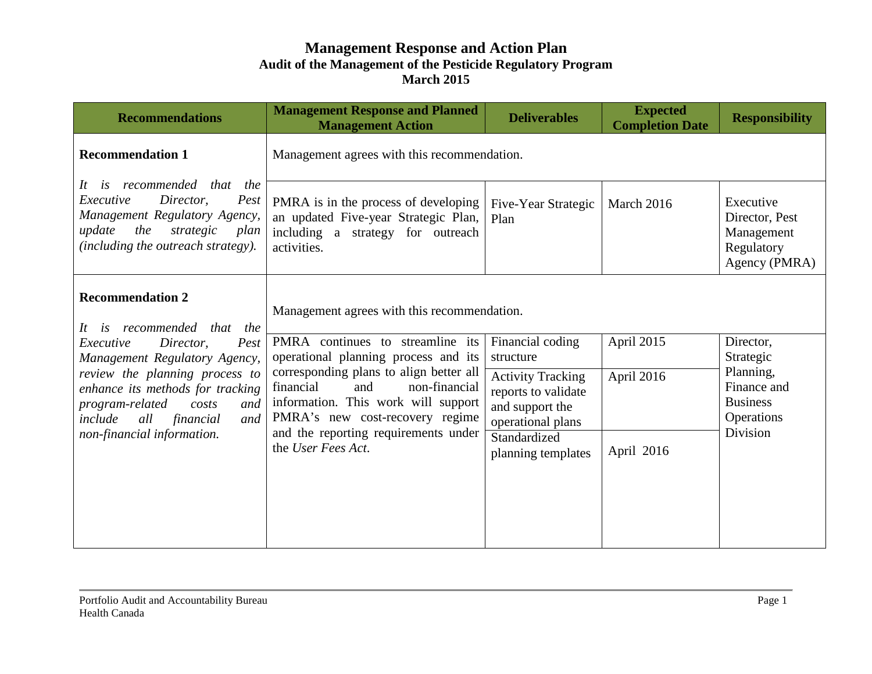| <b>Management Response and Planned</b><br><b>Management Action</b>   | <b>Deliverables</b>                                                                                                                                            | <b>Expected</b><br><b>Completion Date</b>                                | <b>Responsibility</b>                                                    |
|----------------------------------------------------------------------|----------------------------------------------------------------------------------------------------------------------------------------------------------------|--------------------------------------------------------------------------|--------------------------------------------------------------------------|
| Management agrees with this recommendation.                          |                                                                                                                                                                |                                                                          |                                                                          |
| including a strategy for outreach<br>activities.                     | Five-Year Strategic<br>Plan                                                                                                                                    | March 2016                                                               | Executive<br>Director, Pest<br>Management<br>Regulatory<br>Agency (PMRA) |
| Management agrees with this recommendation.                          |                                                                                                                                                                |                                                                          |                                                                          |
| operational planning process and its                                 | Financial coding<br>structure                                                                                                                                  | April 2015                                                               | Director,<br>Strategic                                                   |
| financial<br>and<br>non-financial<br>PMRA's new cost-recovery regime | <b>Activity Tracking</b><br>reports to validate<br>and support the<br>operational plans                                                                        | April 2016                                                               | Planning,<br>Finance and<br><b>Business</b><br>Operations                |
| the User Fees Act.                                                   | Standardized<br>planning templates                                                                                                                             | April 2016                                                               | <b>Division</b>                                                          |
|                                                                      |                                                                                                                                                                |                                                                          |                                                                          |
|                                                                      | an updated Five-year Strategic Plan,<br>corresponding plans to align better all<br>information. This work will support<br>and the reporting requirements under | PMRA is in the process of developing<br>PMRA continues to streamline its |                                                                          |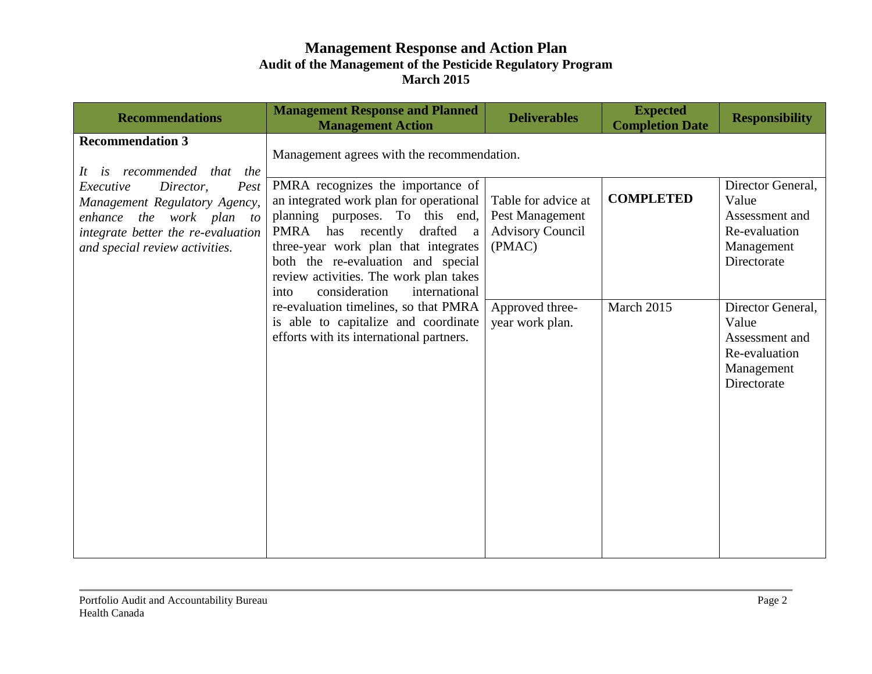| <b>Recommendations</b>                                                                                                                                                                                                       | <b>Management Response and Planned</b><br><b>Management Action</b>                                                                                                                                                                                                                                                                                                                                                                                                                             | <b>Deliverables</b>                                                                                               | <b>Expected</b><br><b>Completion Date</b> | <b>Responsibility</b>                                                                                                    |
|------------------------------------------------------------------------------------------------------------------------------------------------------------------------------------------------------------------------------|------------------------------------------------------------------------------------------------------------------------------------------------------------------------------------------------------------------------------------------------------------------------------------------------------------------------------------------------------------------------------------------------------------------------------------------------------------------------------------------------|-------------------------------------------------------------------------------------------------------------------|-------------------------------------------|--------------------------------------------------------------------------------------------------------------------------|
| <b>Recommendation 3</b><br>It is recommended that the<br>Executive<br>Director,<br>Pest<br>Management Regulatory Agency,<br>enhance the work plan to<br>integrate better the re-evaluation<br>and special review activities. | Management agrees with the recommendation.<br>PMRA recognizes the importance of<br>an integrated work plan for operational<br>planning purposes. To this end,<br>PMRA has recently<br>drafted a<br>three-year work plan that integrates<br>both the re-evaluation and special<br>review activities. The work plan takes<br>international<br>consideration<br>into<br>re-evaluation timelines, so that PMRA<br>is able to capitalize and coordinate<br>efforts with its international partners. | Table for advice at<br>Pest Management<br><b>Advisory Council</b><br>(PMAC)<br>Approved three-<br>year work plan. | <b>COMPLETED</b><br>March 2015            | Director General,<br>Value<br>Assessment and<br>Re-evaluation<br>Management<br>Directorate<br>Director General,<br>Value |
|                                                                                                                                                                                                                              |                                                                                                                                                                                                                                                                                                                                                                                                                                                                                                |                                                                                                                   |                                           | Assessment and<br>Re-evaluation<br>Management<br>Directorate                                                             |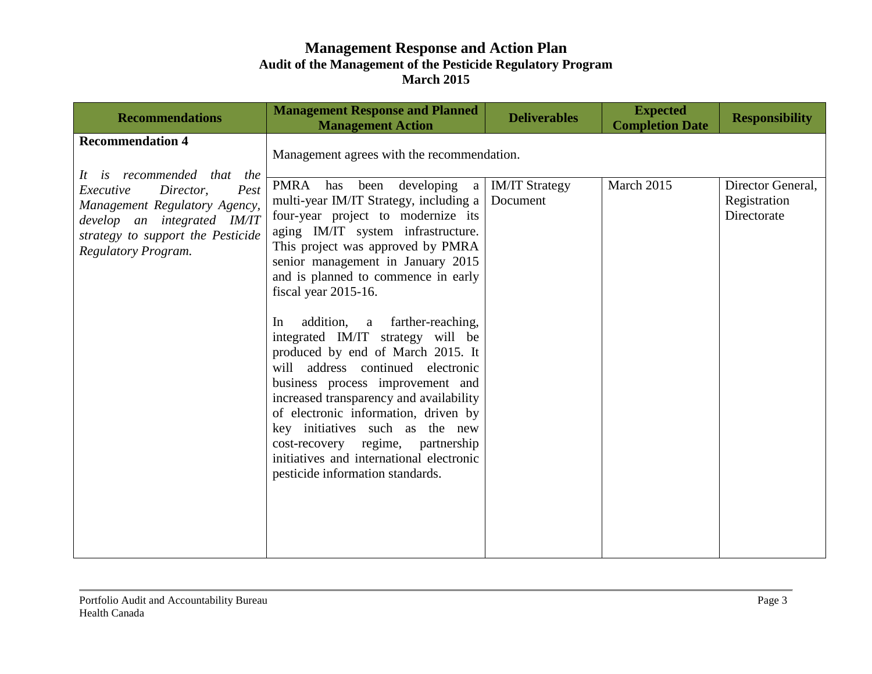| <b>Recommendations</b>                                                                                                                                                                                              | <b>Management Response and Planned</b><br><b>Management Action</b>                                                                                                                                                                                                                                                                                                                                                                | <b>Deliverables</b>               | <b>Expected</b><br><b>Completion Date</b> | <b>Responsibility</b>                            |
|---------------------------------------------------------------------------------------------------------------------------------------------------------------------------------------------------------------------|-----------------------------------------------------------------------------------------------------------------------------------------------------------------------------------------------------------------------------------------------------------------------------------------------------------------------------------------------------------------------------------------------------------------------------------|-----------------------------------|-------------------------------------------|--------------------------------------------------|
| <b>Recommendation 4</b><br>It is recommended that the<br>Pest<br>Executive<br>Director,<br>Management Regulatory Agency,<br>develop an integrated IM/IT<br>strategy to support the Pesticide<br>Regulatory Program. | Management agrees with the recommendation.<br>PMRA has been developing a<br>multi-year IM/IT Strategy, including a<br>four-year project to modernize its<br>aging IM/IT system infrastructure.<br>This project was approved by PMRA<br>senior management in January 2015<br>and is planned to commence in early<br>fiscal year 2015-16.                                                                                           | <b>IM/IT Strategy</b><br>Document | March 2015                                | Director General,<br>Registration<br>Directorate |
|                                                                                                                                                                                                                     | addition, a farther-reaching,<br>In<br>integrated IM/IT strategy will be<br>produced by end of March 2015. It<br>will address continued electronic<br>business process improvement and<br>increased transparency and availability<br>of electronic information, driven by<br>key initiatives such as the new<br>cost-recovery regime, partnership<br>initiatives and international electronic<br>pesticide information standards. |                                   |                                           |                                                  |